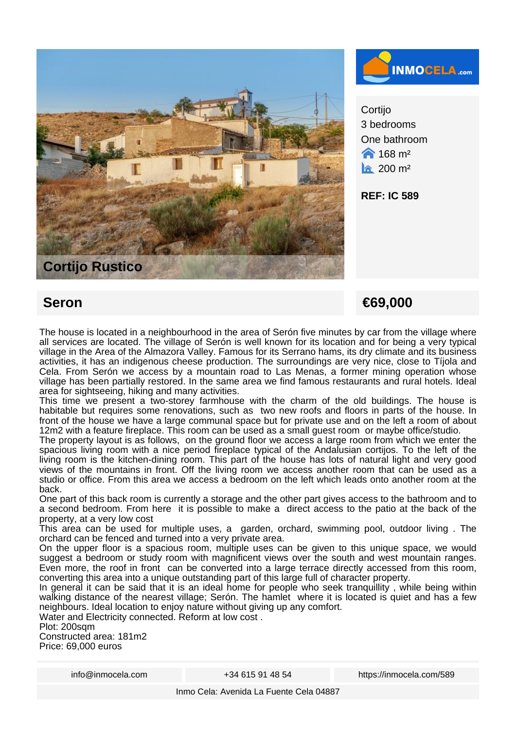



**Cortijo** 3 bedrooms One bathroom  $\bigwedge$  168 m<sup>2</sup>  $\hat{a}$  200 m<sup>2</sup>

**REF: IC 589**

## **Seron €69,000**

The house is located in a neighbourhood in the area of Serón five minutes by car from the village where all services are located. The village of Serón is well known for its location and for being a very typical village in the Area of the Almazora Valley. Famous for its Serrano hams, its dry climate and its business activities, it has an indigenous cheese production. The surroundings are very nice, close to Tíjola and Cela. From Serón we access by a mountain road to Las Menas, a former mining operation whose village has been partially restored. In the same area we find famous restaurants and rural hotels. Ideal area for sightseeing, hiking and many activities.

This time we present a two-storey farmhouse with the charm of the old buildings. The house is habitable but requires some renovations, such as two new roofs and floors in parts of the house. In front of the house we have a large communal space but for private use and on the left a room of about 12m2 with a feature fireplace. This room can be used as a small guest room or maybe office/studio.

The property layout is as follows, on the ground floor we access a large room from which we enter the spacious living room with a nice period fireplace typical of the Andalusian cortijos. To the left of the living room is the kitchen-dining room. This part of the house has lots of natural light and very good views of the mountains in front. Off the living room we access another room that can be used as a studio or office. From this area we access a bedroom on the left which leads onto another room at the back.

One part of this back room is currently a storage and the other part gives access to the bathroom and to a second bedroom. From here it is possible to make a direct access to the patio at the back of the property, at a very low cost

This area can be used for multiple uses, a garden, orchard, swimming pool, outdoor living . The orchard can be fenced and turned into a very private area.

On the upper floor is a spacious room, multiple uses can be given to this unique space, we would suggest a bedroom or study room with magnificent views over the south and west mountain ranges. Even more, the roof in front can be converted into a large terrace directly accessed from this room, converting this area into a unique outstanding part of this large full of character property.

In general it can be said that it is an ideal home for people who seek tranquillity, while being within walking distance of the nearest village; Serón. The hamlet where it is located is quiet and has a few neighbours. Ideal location to enjoy nature without giving up any comfort.

Water and Electricity connected. Reform at low cost .

Plot: 200sam

Constructed area: 181m2 Price: 69,000 euros

info@inmocela.com +34 615 91 48 54 https://inmocela.com/589

Inmo Cela: Avenida La Fuente Cela 04887